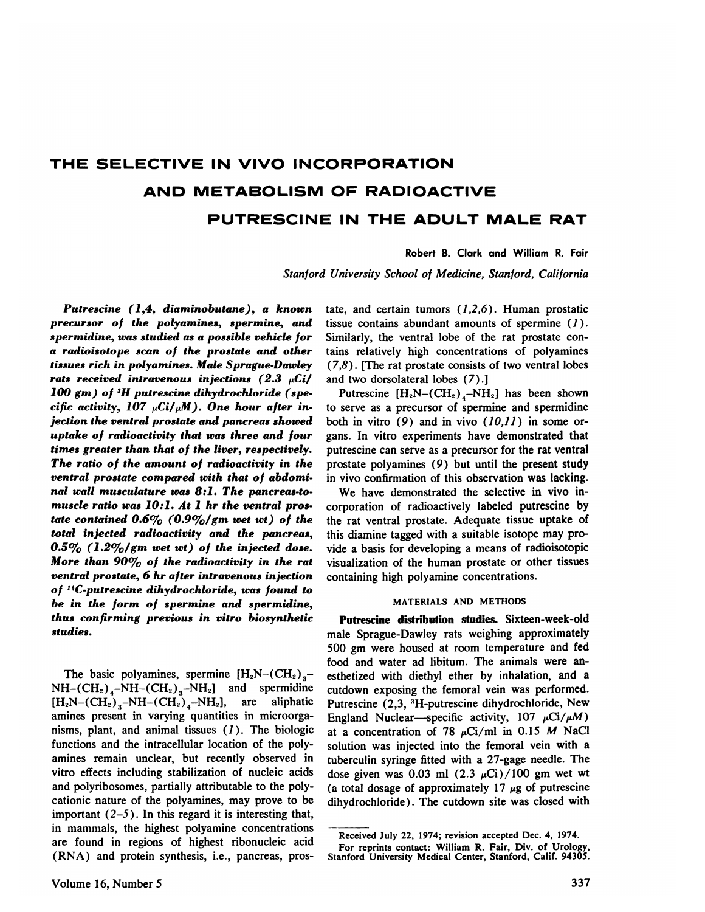# **THE SELECTIVE IN VIVO INCORPORATION AND METABOLISM OF RADIOACTIVE PUTRESCINE IN THE ADULT MALE RAT**

# Robert B. Clark and William R. Fair

*Stanford University School of Medicine, Stanford, California*

*Putrescine (1,4, diaminobutane), a known precursor of the polyamines, spermine, and spermidine, was studied as a possible vehicle for a radioisotope scan of the prostate and other tissues rich in polyamines. Male Sprague-Dawley rats received intravenous injections* (2.3  $\mu$ Ci/ *100 gm) of 3H putrescine dihydrochioride (spe cific activity, 107*  $\mu$ *Ci/* $\mu$ *M). One hour after injection the ventral prostate and pancreas showed uptake of radioactivity that was three and four times greater than that of the liver, respectively. The ratio of the amount of radioactivity in the ventral prostate compared with that of abdomi nal wall musculature was 8:1. The pancreas-to muscle ratio was 10:1. At 1 hr the ventral pros tate contained 0.6% (0.9%/gm wet wt) of the total injected radioactivity and the pancreas, 0.5% (1.2%/gm wet wt) of the injected dose. More than 90% of the radioactivity in the rat ventral prostate, 6 hr after intravenous injection of '4C-putrescine dihydrochioride, was found to be in the form of spermine and spermidine, thus confirming previous in vitro biosynthetic studies.*

The basic polyamines, spermine  $[H_2N-(CH_2)<sub>3</sub>-]$  $NH-(CH<sub>2</sub>)<sub>4</sub>-NH-(CH<sub>2</sub>)<sub>3</sub>-NH<sub>2</sub>]$  and spermidine  $(H_2N-(CH_2)_{3}-NH-(CH_2)_{4}-NH_2],$  are aliphatic amines present in varying quantities in microorga nisms, plant, and animal tissues  $(1)$ . The biologic functions and the intracellular location of the poly amines remain unclear, but recently observed in vitro effects including stabilization of nucleic acids and polyribosomes, partially attributable to the poly cationic nature of the polyamines, may prove to be important  $(2-5)$ . In this regard it is interesting that, in mammals, the highest polyamine concentrations are found in regions of highest ribonucleic acid (RNA) and protein synthesis, i.e., pancreas, pros tate, and certain tumors  $(1,2,6)$ . Human prostatic tissue contains abundant amounts of spermine  $(1)$ . Similarly, the ventral lobe of the rat prostate con tains relatively high concentrations of polyamines *(7,8) . [The rat prostate consists of two ventral lobes* and two dorsolateral lobes (7).]

Putrescine  $[H_2N-(CH_2)_4-NH_2]$  has been shown to serve as a precursor of spermine and spermidine both in vitro  $(9)$  and in vivo  $(10,11)$  in some organs. In vitro experiments have demonstrated that putrescine can serve as a precursor for the rat ventral prostate polyamines (9) but until the present study in vivo confirmation of this observation was lacking.

We have demonstrated the selective in vivo in corporation of radioactively labeled putrescine by the rat ventral prostate. Adequate tissue uptake of this diamine tagged with a suitable isotope may pro vide a basis for developing a means of radioisotopic visualization of the human prostate or other tissues containing high polyamine concentrations.

### **MATERIALS AND METHODS**

**Putrescine distribution studies.** Sixteen-week-old male Sprague-Dawley rats weighing approximately 500 gm were housed at room temperature and fed food and water ad libitum. The animals were an esthetized with diethyl ether by inhalation, and a cutdown exposing the femoral vein was performed. Putrescine (2,3, 3H-putrescine dihydrochioride, New England Nuclear—specific activity, 107  $\mu$ Ci/ $\mu$ M) at a concentration of 78  $\mu$ Ci/ml in 0.15 M NaCl solution was injected into the femoral vein with a tuberculin syringe fitted with a 27-gage needle. The dose given was 0.03 ml  $(2.3 \mu\text{Ci})/100$  gm wet wt (a total dosage of approximately 17  $\mu$ g of putrescine dihydrochioride) . The cutdown site was closed with

Received July 22, 1974; revision accepted Dec. 4, 1974.

**For reprints contact: William R. Fair, Div. of Urology, Stanford University Medical Center, Stanford, Calif. 94305.**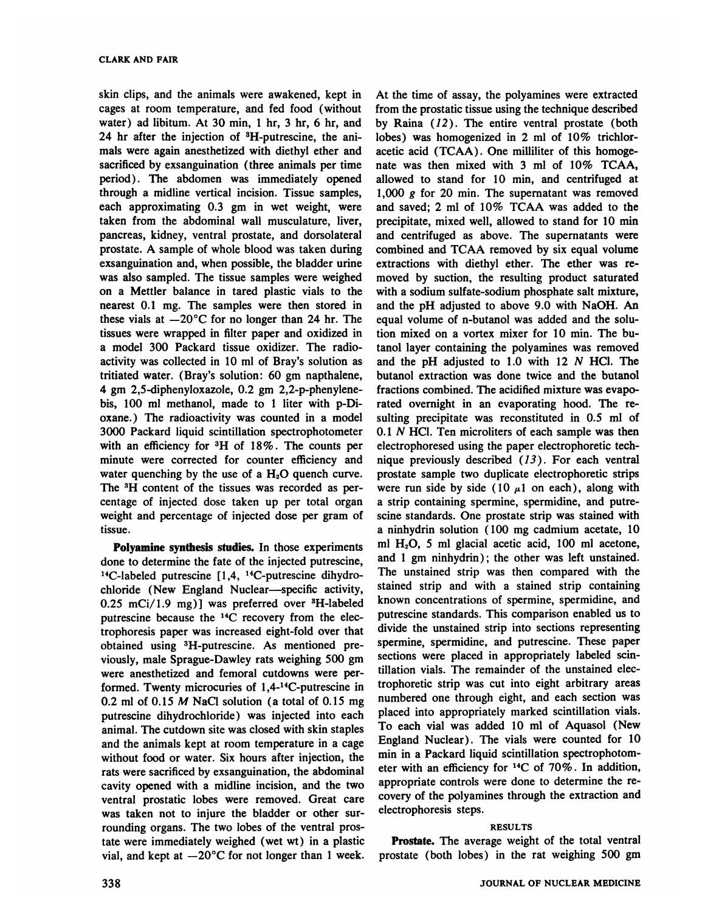skin clips, and the animals were awakened, kept in cages at room temperature, and fed food (without water) ad libitum. At  $30$  min, 1 hr,  $3$  hr,  $6$  hr, and 24 hr after the injection of <sup>3</sup>H-putrescine, the animals were again anesthetized with diethyl ether and sacrificed by exsanguination (three animals per time period) . The abdomen was immediately opened through a midline vertical incision. Tissue samples, each approximating 0.3 gm in wet weight, were taken from the abdominal wall musculature, liver, pancreas, kidney, ventral prostate, and dorsolateral prostate. A sample of whole blood was taken during exsanguination and, when possible, the bladder urine was also sampled. The tissue samples were weighed on a Mettler balance in tared plastic vials to the nearest 0.1 mg. The samples were then stored in these vials at  $-20^{\circ}$ C for no longer than 24 hr. The tissues were wrapped in filter paper and oxidized in a model 300 Packard tissue oxidizer. The radio activity was collected in 10 ml of Bray's solution as tritiated water. (Bray's solution: 60 gm napthalene, 4 gm 2,5-diphenyloxazole, 0.2 gm 2,2-p-phenylene bis, 100 ml methanol, made to 1 liter with p-Dioxane.) The radioactivity was counted in a model 3000 Packard liquid scintillation spectrophotometer with an efficiency for 3H of 18% . The counts per minute were corrected for counter efficiency and water quenching by the use of a  $H<sub>2</sub>O$  quench curve. The 3H content of the tissues was recorded as per centage of injected dose taken up per total organ weight and percentage of injected dose per gram of tissue.

**Polyamine synthesis studies.** In those experiments done to determine the fate of the injected putrescine, 14C-labeled putrescine [1,4, 14C-putrescine dihydro chloride (New England Nuclear—specific activity, *0.25 mCi/i .9 mg)} was preferred over 3H-labeled* putrescine because the 14C recovery from the elec trophoresis paper was increased eight-fold over that obtained using 3H-putrescine. As mentioned pre viously, male Sprague-Dawley rats weighing 500 gm were anesthetized and femoral cutdowns were per formed. Twenty microcuries of  $1,4$ -<sup>14</sup>C-putrescine in 0.2 ml of 0.15  $M$  NaCl solution (a total of 0.15 mg putrescine dihydrochloride) was injected into each animal. The cutdown site was closed with skin staples and the animals kept at room temperature in a cage without food or water. Six hours after injection, the rats were sacrificed by exsanguination, the abdominal cavity opened with a midline incision, and the two ventral prostatic lobes were removed. Great care **was taken not to injure the bladder or other sur** rounding organs. The two lobes of the ventral pros tate were immediately weighed (wet wt) in a plastic vial, and kept at  $-20^{\circ}$ C for not longer than 1 week.

At the time of assay, the polyamines were extracted from the prostatic tissue using the technique described by Raina  $(12)$ . The entire ventral prostate (both lobes) was homogenized in 2 ml of 10% trichlor acetic acid (TCAA). One milliliter of this homogenate was then mixed with 3 ml of 10% TCAA, allowed to stand for 10 min, and centrifuged at **1,000 g for 20 mm. The supematant was removed** and saved; 2 ml of 10% TCAA was added to the precipitate, mixed well, allowed to stand for 10 min and centrifuged as above. The supernatants were combined and TCAA removed by six equal volume extractions with diethyl ether. The ether was re moved by suction, the resulting product saturated with a sodium sulfate-sodium phosphate salt mixture, and the pH adjusted to above 9.0 with NaOH. An equal volume of n-butanol was added and the solu tion mixed on a vortex mixer for 10 min. The butanol layer containing the polyamines was removed and the pH adjusted to  $1.0$  with  $12$  N HCl. The butanol extraction was done twice and the butanol fractions combined. The acidified mixture was evapo rated overnight in an evaporating hood. The re sulting precipitate was reconstituted in 0.5 ml of  $0.1$  N HCl. Ten microliters of each sample was then electrophoresed using the paper electrophoretic tech nique previously described  $(13)$ . For each ventral prostate sample two duplicate electrophoretic strips were run side by side (10  $\mu$ 1 on each), along with a strip containing spermine, spermidine, and putre scine standards. One prostate strip was stained with a ninhydrin solution ( 100 mg cadmium acetate, 10 ml  $H<sub>2</sub>O$ , 5 ml glacial acetic acid, 100 ml acetone, and 1 gm ninhydrin) ; the other was left unstained. The unstained strip was then compared with the stained strip and with a stained strip containing known concentrations of spermine, spermidine, and putrescine standards. This comparison enabled us to divide the unstained strip into sections representing spermine, spermidine, and putrescine. These paper sections were placed in appropriately labeled scintillation vials. The remainder of the unstained elec trophoretic strip was cut into eight arbitrary areas numbered one through eight, and each section was placed into appropriately marked scintillation vials. To each vial was added 10 ml of Aquasol (New England Nuclear). The vials were counted for 10 min in a Packard liquid scintillation spectrophotometer with an efficiency for 14C of 70% . In addition, appropriate controls were done to determine the re covery of the polyamines through the extraction and electrophoresis steps.

## **RESULTS**

**Prostate. The average weight of the total ventral** prostate (both lobes) in the rat weighing 500 gm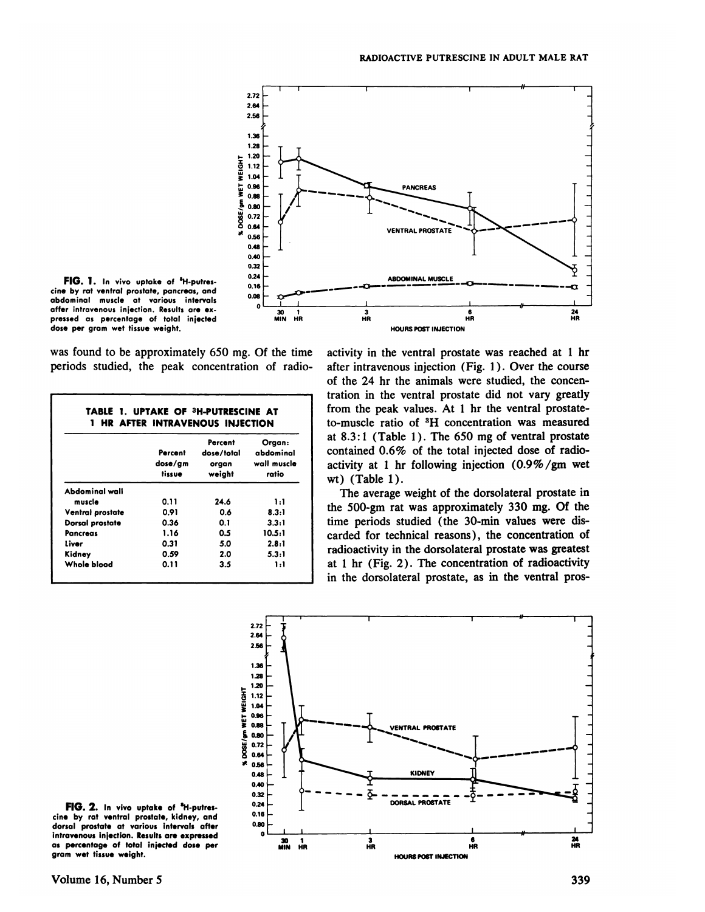

**FIG. 1. In vvouptakeof 'H.putres** cine by rat ventral prostate, pancreas, and abdominal muscle at various intervals affer intravenous injection. Results are ex**pressed as percentage of total injected dose per gram wet tissueweight.**

was found to be approximately 650 mg. Of the time periods studied, the peak concentration of radio

|                  | Percent<br>dose/gm<br>tissue | Percent<br>dose/total<br>organ<br>weight | Organ:<br>abdominal<br>wall muscle<br>ratio |
|------------------|------------------------------|------------------------------------------|---------------------------------------------|
| Abdominal wall   |                              |                                          |                                             |
| muscle           | 0.11                         | 24.6                                     | 1:1                                         |
| Ventral prostate | 0.91                         | 0.6                                      | 8.3:1                                       |
| Dorsal prostate  | 0.36                         | 0.1                                      | 3.3:1                                       |
| Pancreas         | 1.16                         | 0.5                                      | 10.5:1                                      |
| Liver            | 0.31                         | 5.0                                      | 2.8:1                                       |
| Kidney           | 0.59                         | 2.0                                      | 5.3:1                                       |
| Whole blood      | 0.11                         | 3.5                                      | 1:1                                         |

activity in the ventral prostate was reached at 1 hr after intravenous injection (Fig. 1). Over the course of the 24 hr the animals were studied, the concen tration in the ventral prostate did not vary greatly from the peak values. At 1 hr the ventral prostate to-muscle ratio of 3H concentration was measured at  $8.3:1$  (Table 1). The 650 mg of ventral prostate contained 0.6% of the total injected dose of radio activity at 1 hr following injection  $(0.9\% / gm$  wet wt) (Table 1).

The average weight of the dorsolateral prostate in the 500-gm rat was approximately 330 mg. Of the **Dorsal prostate** 0.36 0.1 3.3:1 lime periods studied (the 30-min values were discarded for technical reasons) , the concentration of radioactivity in the dorsolateral prostate was greatest at  $1$  hr (Fig. 2). The concentration of radioactivity in the dorsolateral prostate, as in the ventral pros



cine by rat ventral prostate, kidney, and **dorsal prostate at various intervals after intravenousinjection. Resultsare expressed as percentage of total injected dose per gram wet tissue weight.**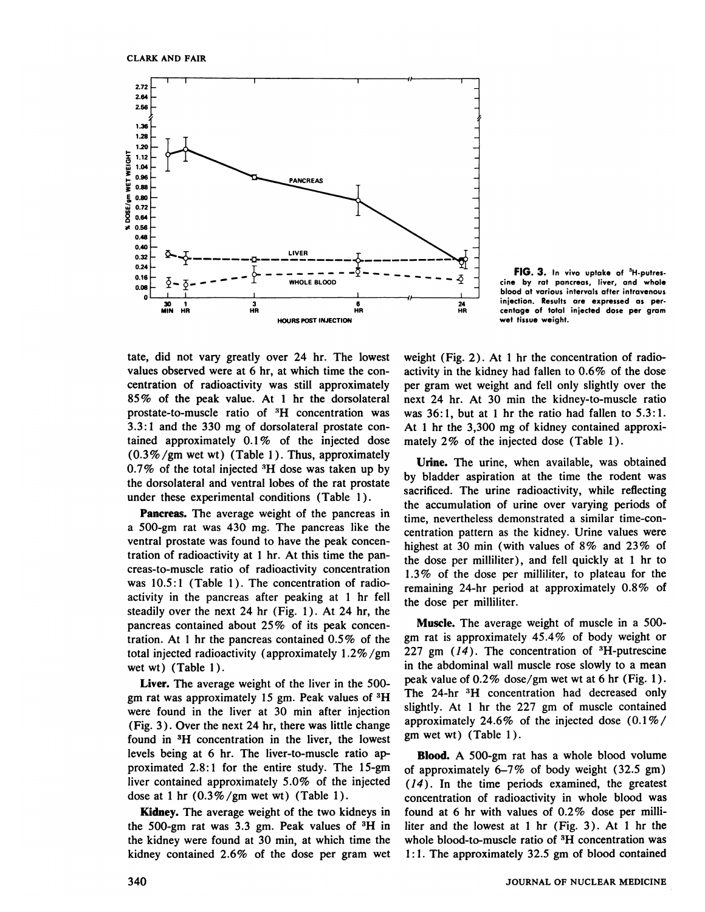

**FIG.3. In vivouptakeof 'H-putres** cine by rat pancreas, liver, and whole blood at various intervals after intravenous injection. Results are expressed as per centage of total injected dose per gram wet tissue weight.

tate, did not vary greatly over 24 hr. The lowest values observed were at 6 hr, at which time the con centration of radioactivity was still approximately **85% of the peak value. At 1 hr the dorsolateral** prostate-to-muscle ratio of  ${}^{3}H$  concentration was **3.3:1 and the 330 mg of dorsolateralprostatecon** tamed approximately 0.1 % of the injected dose  $(0.3\% /gm$  wet wt) (Table 1). Thus, approximately  $0.7\%$  of the total injected  ${}^{3}H$  dose was taken up by the dorsolateral and ventral lobes of the rat prostate under these experimental conditions (Table 1).

**Pancreas. The average weight of the pancreas in** a 500-gm rat was 430 mg. The pancreas like the ventral prostate was found to have the peak concen tration of radioactivity at 1 hr. At this time the pan creas-to-muscle ratio of radioactivity concentration was  $10.5:1$  (Table 1). The concentration of radioactivity in the pancreas after peaking at 1 hr fell steadily over the next 24 hr (Fig. 1). At 24 hr, the pancreas contained about 25% of its peak concentration. At 1 hr the pancreas contained 0.5% of the total injected radioactivity (approximately I.2% /gm wet wt) (Table I).

Liver. The average weight of the liver in the 500 gm rat was approximately 15 gm. Peak values of  ${}^{3}H$ were found in the liver at 30 min after injection (Fig. 3 ) . Over the next 24 hr, there was little change found in 3H concentration in the liver, the lowest levels being at 6 hr. The liver-to-muscle ratio ap proximated 2.8: 1 for the entire study. The 15-gm liver contained approximately 5.0% of the injected dose at 1 hr  $(0.3\% / gm$  wet wt) (Table 1).

Kidney. The average weight of the two kidneys in the 500-gm rat was 3.3 gm. Peak values of  ${}^{3}H$  in the kidney were found at 30 min, at which time the kidney contained 2.6% of the dose per gram wet weight (Fig. 2). At 1 hr the concentration of radioactivity in the kidney had fallen to 0.6% of the dose per gram wet weight and fell only slightly over the next 24 hr. At 30 min the kidney-to-muscle ratio was  $36:1$ , but at 1 hr the ratio had fallen to  $5.3:1$ . At 1 hr the 3,300 mg of kidney contained approxi mately 2% of the injected dose (Table 1).

Urine. The urine, when available, was obtained by bladder aspiration at the time the rodent was sacrificed. The urine radioactivity, while reflecting the accumulation of urine over varying periods of time, nevertheless demonstrated a similar time-con centration pattern as the kidney. Urine values were highest at 30 min (with values of  $8\%$  and  $23\%$  of the dose per milliliter), and fell quickly at 1 hr to **1.3% of the doseper milliliter, to plateau for the** remaining 24-hr period at approximately 0.8% of the dose per milliliter.

Muscle. The average weight of muscle in a 500 gm rat is approximately 45.4% of body weight or 227 gm  $(14)$ . The concentration of  ${}^{3}$ H-putrescine in the abdominal wall muscle rose slowly to a mean peak value of 0.2% dose/gm wet wt at 6 hr (Fig. 1). The 24-hr <sup>3</sup>H concentration had decreased only slightly. At 1 hr the  $227$  gm of muscle contained approximately 24.6% of the injected dose  $(0.1\%/$ gm wet wt) (Table I).

Blood. A 500-gm rat has a whole blood volume of approximately  $6-7\%$  of body weight (32.5 gm)  $(14)$ . In the time periods examined, the greatest concentration of radioactivity in whole blood was found at 6 hr with values of  $0.2\%$  dose per milliliter and the lowest at 1 hr  $(Fig. 3)$ . At 1 hr the whole blood-to-muscle ratio of  ${}^{3}H$  concentration was 1: 1. The approximately 32.5 gm of blood contained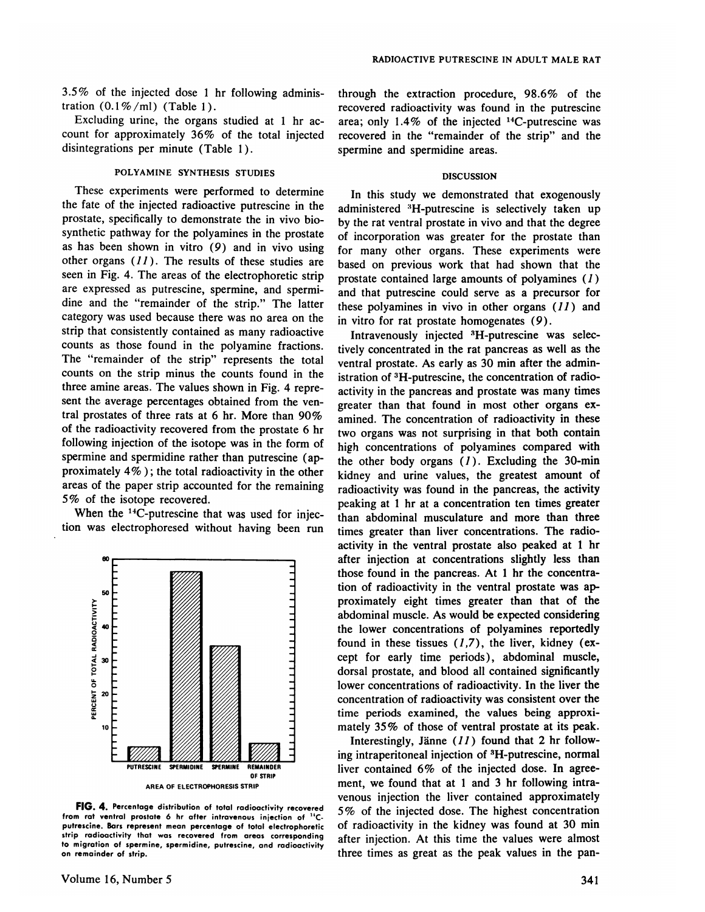*3.5% of the injected dose 1 hr following adminis* tration  $(0.1\%/ml)$  (Table 1).

Excluding urine, the organs studied at 1 hr account for approximately 36% of the total injected disintegrations per minute (Table 1).

# **POLYAMINE SYNTHESIS STUDIES**

These experiments were performed to determine the fate of the injected radioactive putrescine in the prostate, specifically to demonstrate the in vivo bio synthetic pathway for the polyamines in the prostate as has been shown in vitro (9) and in vivo using other organs  $(11)$ . The results of these studies are seen in Fig.4. The areas of the electrophoretic strip are expressed as putrescine, spermine, and spermi dine and the "remainder of the strip." The latter category was used because there was no area on the strip that consistently contained as many radioactive counts as those found in the polyamine fractions. The "remainder of the strip" represents the total counts on the strip minus the counts found in the three amine areas. The values shown in Fig. 4 represent the average percentages obtained from the yen tral prostates of three rats at 6 hr. More than 90% of the radioactivity recovered from the prostate 6 hr following injection of the isotope was in the form of spermine and spermidine rather than putrescine (ap proximately 4% ) ; the total radioactivity in the other areas of the paper strip accounted for the remaining *5% of the isotope recovered.*

When the <sup>14</sup>C-putrescine that was used for injection was electrophoresed without having been run



**FIG.4. Percentage distribution oftotalradioactivity recovered** from rat ventral prostate 6 hr after intravenous injection of "Cputrescine. Bars represent mean percentage of total electrophoretic strip radioactivity that was recovered from areas corresponding to migration of spermine, spermidine, putrescine, and radioactivity **on remainder of strip.**

through the extraction procedure, 98.6% of the recovered radioactivity was found in the putrescine area; only  $1.4\%$  of the injected <sup>14</sup>C-putrescine was recovered in the "remainder of the strip" and the spermine and spermidine areas.

#### **DISCUSSION**

In this study we demonstrated that exogenously administered <sup>3</sup>H-putrescine is selectively taken up by the rat ventral prostate in vivo and that the degree of incorporation was greater for the prostate than for many other organs. These experiments were based on previous work that had shown that the prostate contained large amounts of polyamines  $(1)$ and that putrescine could serve as a precursor for these polyamines in vivo in other organs  $(11)$  and in vitro for rat prostate homogenates (9).

Intravenously injected 3H-putrescine was selec tively concentrated in the rat pancreas as well as the ventral prostate. As early as 30 min after the administration of 3H-putrescine, the concentration of radio activity in the pancreas and prostate was many times greater than that found in most other organs ex amined. The concentration of radioactivity in these two organs was not surprising in that both contain high concentrations of polyamines compared with the other body organs  $(1)$ . Excluding the 30-min kidney and urine values, the greatest amount of radioactivity was found in the pancreas, the activity peaking at 1 hr at a concentration ten times greater than abdominal musculature and more than three times greater than liver concentrations. The radio activity in the ventral prostate also peaked at 1 hr after injection at concentrations slightly less than those found in the pancreas. At 1 hr the concentra tion of radioactivity in the ventral prostate was ap proximately eight times greater than that of the abdominal muscle. As would be expected considering the lower concentrations of polyamines reportedly found in these tissues  $(1,7)$ , the liver, kidney (except for early time periods), abdominal muscle, dorsal prostate, and blood all contained significantly lower concentrations of radioactivity. In the liver the concentration of radioactivity was consistent over the time periods examined, the values being approxi mately 35% of those of ventral prostate at its peak.

Interestingly, Jänne  $(11)$  found that 2 hr following intraperitoneal injection of 3H-putrescine, normal liver contained 6% of the injected dose. In agree ment, we found that at 1 and 3 hr following intravenous injection the liver contained approximately *5 % of the injected dose. The highest concentration* **of radioactivityin the kidney was found at 30 mm** after injection. At this time the values were almost three times as great as the peak values in the pan